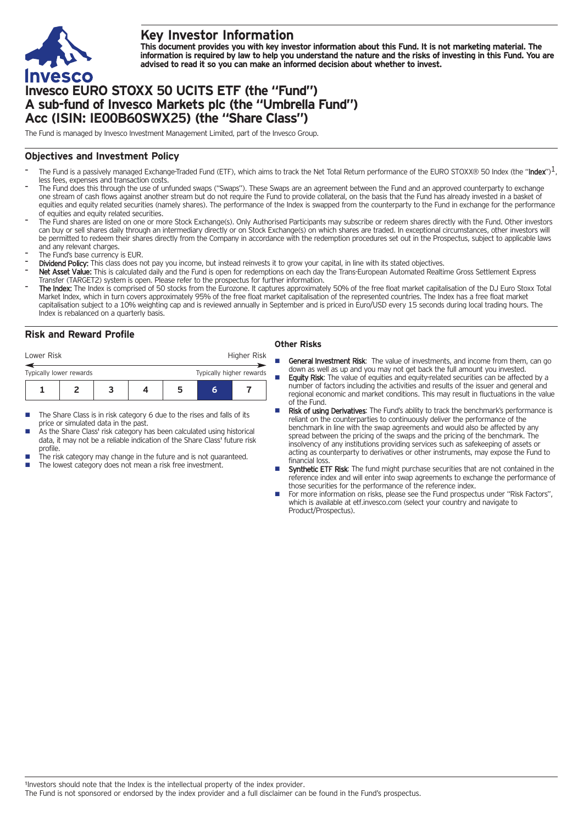

# **Key Investor Information**

This document provides you with key investor information about this Fund. It is not marketing material. The information is required by law to help you understand the nature and the risks of investing in this Fund. You are **advised to read it so you can make an informed decision about whether to invest.**

# **Invesco EURO STOXX 50 UCITS ETF (the "Fund") A sub-fund of Invesco Markets plc (the "Umbrella Fund") Acc (ISIN: IE00B60SWX25) (the "Share Class")**

The Fund is managed by Invesco Investment Management Limited, part of the Invesco Group.

## **Objectives and Investment Policy**

- The Fund is a passively managed Exchange-Traded Fund (ETF), which aims to track the Net Total Return performance of the EURO STOXX® 50 Index (the "Index")<sup>1</sup>, less fees, expenses and transaction costs.
- The Fund does this through the use of unfunded swaps ("Swaps"). These Swaps are an agreement between the Fund and an approved counterparty to exchange one stream of cash flows against another stream but do not require the Fund to provide collateral, on the basis that the Fund has already invested in a basket of equities and equity related securities (namely shares). The performance of the Index is swapped from the counterparty to the Fund in exchange for the performance of equities and equity related securities.
- The Fund shares are listed on one or more Stock Exchange(s). Only Authorised Participants may subscribe or redeem shares directly with the Fund. Other investors can buy or sell shares daily through an intermediary directly or on Stock Exchange(s) on which shares are traded. In exceptional circumstances, other investors will be permitted to redeem their shares directly from the Company in accordance with the redemption procedures set out in the Prospectus, subject to applicable laws and any relevant charges.
- The Fund's base currency is EUR.
- Dividend Policy: This class does not pay you income, but instead reinvests it to grow your capital, in line with its stated objectives.
- Net Asset Value: This is calculated daily and the Fund is open for redemptions on each day the Trans-European Automated Realtime Gross Settlement Express Transfer (TARGET2) system is open. Please refer to the prospectus for further information.
- The Index: The Index is comprised of 50 stocks from the Eurozone. It captures approximately 50% of the free float market capitalisation of the DJ Euro Stoxx Total Market Index, which in turn covers approximately 95% of the free float market capitalisation of the represented countries. The Index has a free float market capitalisation subject to a 10% weighting cap and is reviewed annually in September and is priced in Euro/USD every 15 seconds during local trading hours. The Index is rebalanced on a quarterly basis.

## **Risk and Reward Profile**

| Lower Risk              |  |  |  |   |                          | Higher Risk |  |
|-------------------------|--|--|--|---|--------------------------|-------------|--|
| Typically lower rewards |  |  |  |   | Typically higher rewards |             |  |
|                         |  |  |  | h |                          |             |  |

- The Share Class is in risk category 6 due to the rises and falls of its price or simulated data in the past.
- As the Share Class' risk category has been calculated using historical data, it may not be a reliable indication of the Share Class' future risk profile.
- The risk category may change in the future and is not guaranteed.
- The lowest category does not mean a risk free investment.

### **Other Risks**

- **General Investment Risk:** The value of investments, and income from them, can go down as well as up and you may not get back the full amount you invested.
- Equity Risk: The value of equities and equity-related securities can be affected by a number of factors including the activities and results of the issuer and general and regional economic and market conditions. This may result in fluctuations in the value of the Fund.
- Risk of using Derivatives: The Fund's ability to track the benchmark's performance is reliant on the counterparties to continuously deliver the performance of the benchmark in line with the swap agreements and would also be affected by any spread between the pricing of the swaps and the pricing of the benchmark. The insolvency of any institutions providing services such as safekeeping of assets or acting as counterparty to derivatives or other instruments, may expose the Fund to financial loss.
- Synthetic ETF Risk: The fund might purchase securities that are not contained in the reference index and will enter into swap agreements to exchange the performance of those securities for the performance of the reference index.
- For more information on risks, please see the Fund prospectus under "Risk Factors", which is available at etf.invesco.com (select your country and navigate to Product/Prospectus).